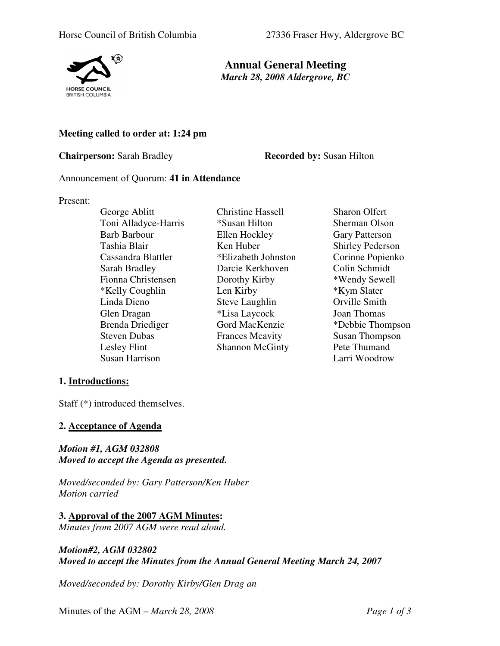

**Annual General Meeting** *March 28, 2008 Aldergrove, BC* 

## **Meeting called to order at: 1:24 pm**

**Chairperson:** Sarah Bradley **Recorded by:** Susan Hilton

#### Announcement of Quorum: **41 in Attendance**

#### Present:

George Ablitt Christine Hassell Sharon Olfert Toni Alladyce-Harris \*Susan Hilton Sherman Olson Barb Barbour Ellen Hockley Gary Patterson Tashia Blair **Ken Huber** Shirley Pederson Cassandra Blattler \*Elizabeth Johnston Corinne Popienko Sarah Bradley Darcie Kerkhoven Colin Schmidt<br>
Fionna Christensen Dorothy Kirby \*Wendy Sewell Fionna Christensen Dorothy Kirby \*Wendy Sew<br>
\*Kelly Coughlin Len Kirby \*Kym Slater  $*$ Kelly Coughlin Len Kirby Linda Dieno Steve Laughlin Orville Smith Glen Dragan \*Lisa Laycock Joan Thomas Brenda Driediger Gord MacKenzie \*Debbie Thompson Steven Dubas Frances Mcavity Susan Thompson<br>
Lesley Flint Shannon McGinty Pete Thumand Susan Harrison Larri Woodrow

Shannon McGinty Pete Thumand

# **1. Introductions:**

Staff (\*) introduced themselves.

## **2. Acceptance of Agenda**

*Motion #1, AGM 032808 Moved to accept the Agenda as presented.* 

*Moved/seconded by: Gary Patterson/Ken Huber Motion carried* 

**3. Approval of the 2007 AGM Minutes:** *Minutes from 2007 AGM were read aloud.* 

## *Motion#2, AGM 032802 Moved to accept the Minutes from the Annual General Meeting March 24, 2007*

*Moved/seconded by: Dorothy Kirby/Glen Drag an*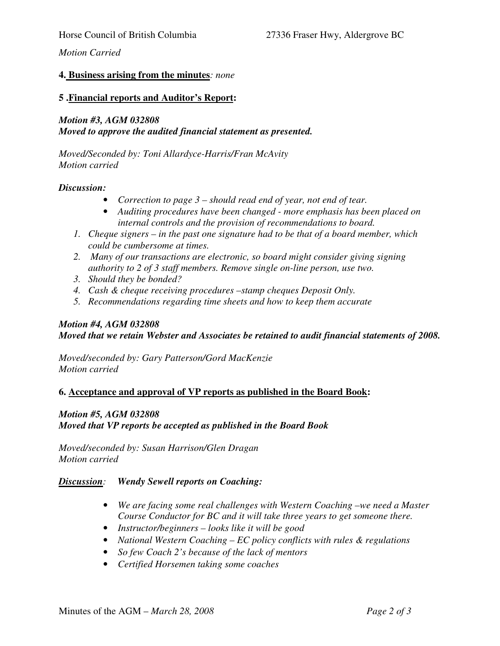## *Motion Carried*

#### **4. Business arising from the minutes***: none*

#### **5 .Financial reports and Auditor's Report:**

#### *Motion #3, AGM 032808 Moved to approve the audited financial statement as presented.*

*Moved/Seconded by: Toni Allardyce-Harris/Fran McAvity Motion carried* 

#### *Discussion:*

- *Correction to page 3 should read end of year, not end of tear.*
- *Auditing procedures have been changed more emphasis has been placed on internal controls and the provision of recommendations to board.*
- *1. Cheque signers in the past one signature had to be that of a board member, which could be cumbersome at times.*
- *2. Many of our transactions are electronic, so board might consider giving signing authority to 2 of 3 staff members. Remove single on-line person, use two.*
- *3. Should they be bonded?*
- *4. Cash & cheque receiving procedures –stamp cheques Deposit Only.*
- *5. Recommendations regarding time sheets and how to keep them accurate*

# *Motion #4, AGM 032808 Moved that we retain Webster and Associates be retained to audit financial statements of 2008.*

*Moved/seconded by: Gary Patterson/Gord MacKenzie Motion carried* 

#### **6. Acceptance and approval of VP reports as published in the Board Book:**

#### *Motion #5, AGM 032808*

*Moved that VP reports be accepted as published in the Board Book* 

*Moved/seconded by: Susan Harrison/Glen Dragan Motion carried* 

## *Discussion: Wendy Sewell reports on Coaching:*

- *We are facing some real challenges with Western Coaching –we need a Master Course Conductor for BC and it will take three years to get someone there.*
- *Instructor/beginners looks like it will be good*
- *National Western Coaching EC policy conflicts with rules & regulations*
- *So few Coach 2's because of the lack of mentors*
- *Certified Horsemen taking some coaches*